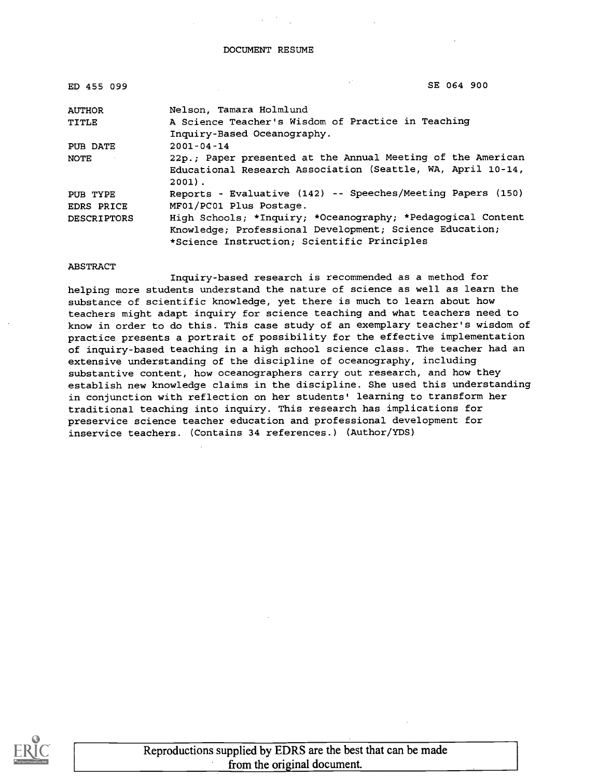#### DOCUMENT RESUME

| ED 455 099         | SE 064 900                                                  |
|--------------------|-------------------------------------------------------------|
| <b>AUTHOR</b>      | Nelson, Tamara Holmlund                                     |
| TITLE              | A Science Teacher's Wisdom of Practice in Teaching          |
|                    | Inquiry-Based Oceanography.                                 |
| PUB DATE           | $2001 - 04 - 14$                                            |
| NOTE               | 22p.: Paper presented at the Annual Meeting of the American |
|                    | Educational Research Association (Seattle, WA, April 10-14, |
|                    | $2001$ .                                                    |
| PUB TYPE           | Reports - Evaluative (142) -- Speeches/Meeting Papers (150) |
| EDRS PRICE         | MF01/PC01 Plus Postage.                                     |
| <b>DESCRIPTORS</b> | High Schools; *Inquiry; *Oceanography; *Pedagogical Content |
|                    | Knowledge; Professional Development; Science Education;     |
|                    | *Science Instruction; Scientific Principles                 |

#### ABSTRACT

Inquiry-based research is recommended as a method for helping more students understand the nature of science as well as learn the substance of scientific knowledge, yet there is much to learn about how teachers might adapt inquiry for science teaching and what teachers need to know in order to do this. This case study of an exemplary teacher's wisdom of practice presents a portrait of possibility for the effective implementation of inquiry-based teaching in a high school science class. The teacher had an extensive understanding of the discipline of oceanography, including substantive content, how oceanographers carry out research, and how they establish new knowledge claims in the discipline. She used this understanding in conjunction with reflection on her students' learning to transform her traditional teaching into inquiry. This research has implications for preservice science teacher education and professional development for inservice teachers. (Contains 34 references.) (Author/YDS)

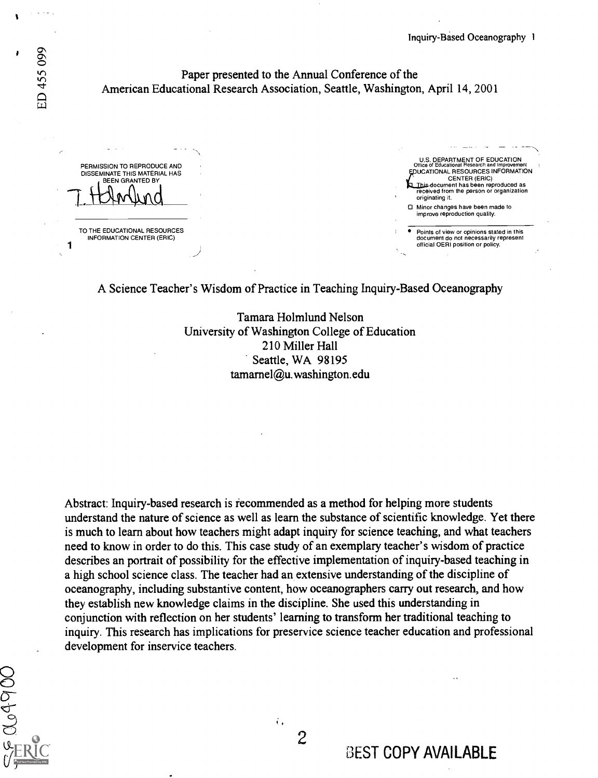#### Paper presented to the Annual Conference of the American Educational Research Association, Seattle, Washington, April 14, 2001

PERMISSION TO REPRODUCE AND DISSEMINATE THIS MATERIAL HAS BEEN GRANTED BY

TO THE EDUCATIONAL RESOURCES<br>INFORMATION CENTER (ERIC)<br>1

U.S. DEPARTMENT OF EDUCATION Office of Educational Research and Improvement<br>DUCATIONAL RESOURCES INFORMATION CENTER (ERIC) ocument has been reproduced as received from the person or organization originating it. Minor changes have been made to improve reproduction quality.

Points of view or opinions stated in this document do not necessarily represent official OERI position or policy.

A Science Teacher's Wisdom of Practice in Teaching Inquiry-Based Oceanography

Tamara Holmlund Nelson University of Washington College of Education 210 Miller Hall Seattle, WA 98195 tamarnel@u.washington.edu

Abstract: Inquiry-based research is recommended as a method for helping more students understand the nature of science as well as learn the substance of scientific knowledge. Yet there is much to learn about how teachers might adapt inquiry for science teaching, and what teachers need to know in order to do this. This case study of an exemplary teacher's wisdom of practice describes an portrait of possibility for the effective implementation of inquiry-based teaching in a high school science class. The teacher had an extensive understanding of the discipline of oceanography, including substantive content, how oceanographers carry out research, and how they establish new knowledge claims in the discipline. She used this understanding in conjunction with reflection on her students' learning to transform her traditional teaching to inquiry. This research has implications for preservice science teacher education and professional development for inservice teachers.

١

 $\Omega$  $\sigma$ 

 $\overline{2}$ 

 $\ddot{\mathbf{t}}$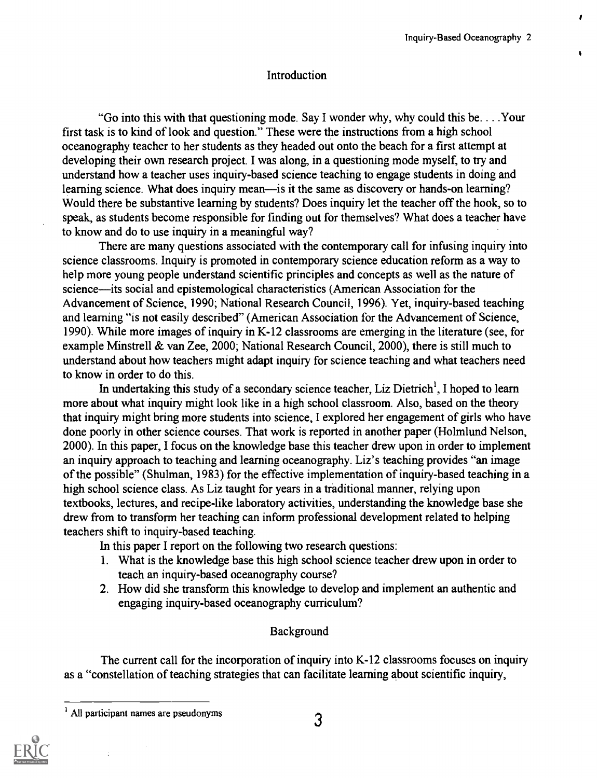ı

## **Introduction**

"Go into this with that questioning mode. Say I wonder why, why could this be. . . .Your first task is to kind of look and question." These were the instructions from a high school oceanography teacher to her students as they headed out onto the beach for a first attempt at developing their own research project. I was along, in a questioning mode myself, to try and understand how a teacher uses inquiry-based science teaching to engage students in doing and learning science. What does inquiry mean—is it the same as discovery or hands-on learning? Would there be substantive learning by students? Does inquiry let the teacher off the hook, so to speak, as students become responsible for finding out for themselves? What does a teacher have to know and do to use inquiry in a meaningful way?

There are many questions associated with the contemporary call for infusing inquiry into science classrooms. Inquiry is promoted in contemporary science education reform as a way to help more young people understand scientific principles and concepts as well as the nature of science—its social and epistemological characteristics (American Association for the Advancement of Science, 1990; National Research Council, 1996). Yet, inquiry-based teaching and learning "is not easily described" (American Association for the Advancement of Science, 1990). While more images of inquiry in K-12 classrooms are emerging in the literature (see, for example Minstrell & van Zee, 2000; National Research Council, 2000), there is still much to understand about how teachers might adapt inquiry for science teaching and what teachers need to know in order to do this.

In undertaking this study of a secondary science teacher, Liz Dietrich<sup>1</sup>, I hoped to learn more about what inquiry might look like in a high school classroom. Also, based on the theory that inquiry might bring more students into science, I explored her engagement of girls who have done poorly in other science courses. That work is reported in another paper (Holmlund Nelson, 2000). In this paper, I focus on the knowledge base this teacher drew upon in order to implement an inquiry approach to teaching and learning oceanography. Liz's teaching provides "an image of the possible" (Shulman, 1983) for the effective implementation of inquiry-based teaching in a high school science class. As Liz taught for years in a traditional manner, relying upon textbooks, lectures, and recipe-like laboratory activities, understanding the knowledge base she drew from to transform her teaching can inform professional development related to helping teachers shift to inquiry-based teaching.

In this paper I report on the following two research questions:

- 1. What is the knowledge base this high school science teacher drew upon in order to teach an inquiry-based oceanography course?
- 2. How did she transform this knowledge to develop and implement an authentic and engaging inquiry-based oceanography curriculum?

## Background

The current call for the incorporation of inquiry into K-12 classrooms focuses on inquiry as a "constellation of teaching strategies that can facilitate learning about scientific inquiry,

 $<sup>1</sup>$  All participant names are pseudonyms  $<sup>3</sup>$ </sup></sup>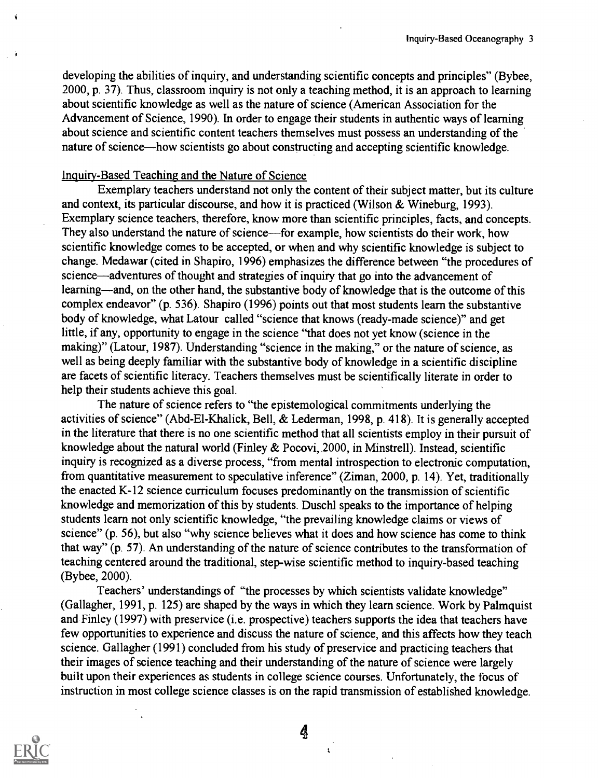developing the abilities of inquiry, and understanding scientific concepts and principles" (Bybee, 2000, p. 37). Thus, classroom inquiry is not only a teaching method, it is an approach to learning about scientific knowledge as well as the nature of science (American Association for the Advancement of Science, 1990). In order to engage their students in authentic ways of learning about science and scientific content teachers themselves must possess an understanding of the nature of science—how scientists go about constructing and accepting scientific knowledge.

#### Inquiry-Based Teaching and the Nature of Science

Exemplary teachers understand not only the content of their subject matter, but its culture and context, its particular discourse, and how it is practiced (Wilson & Wineburg, 1993). Exemplary science teachers, therefore, know more than scientific principles, facts, and concepts. They also understand the nature of science—for example, how scientists do their work, how scientific knowledge comes to be accepted, or when and why scientific knowledge is subject to change. Medawar (cited in Shapiro, 1996) emphasizes the difference between "the procedures of science—adventures of thought and strategies of inquiry that go into the advancement of learning—and, on the other hand, the substantive body of knowledge that is the outcome of this complex endeavor" (p. 536). Shapiro (1996) points out that most students learn the substantive body of knowledge, what Latour called "science that knows (ready-made science)" and get little, if any, opportunity to engage in the science "that does not yet know (science in the making)" (Latour, 1987). Understanding "science in the making," or the nature of science, as well as being deeply familiar with the substantive body of knowledge in a scientific discipline are facets of scientific literacy. Teachers themselves must be scientifically literate in order to help their students achieve this goal.

The nature of science refers to "the epistemological commitments underlying the activities of science" (Abd-El-Khalick, Bell, & Lederman, 1998, p. 418). It is generally accepted in the literature that there is no one scientific method that all scientists employ in their pursuit of knowledge about the natural world (Finley & Pocovi, 2000, in Minstrell). Instead, scientific inquiry is recognized as a diverse process, "from mental introspection to electronic computation, from quantitative measurement to speculative inference" (Ziman, 2000, p. 14). Yet, traditionally the enacted K-12 science curriculum focuses predominantly on the transmission of scientific knowledge and memorization of this by students. Duschl speaks to the importance of helping students learn not only scientific knowledge, "the prevailing knowledge claims or views of science" (p. 56), but also "why science believes what it does and how science has come to think that way" (p. 57). An understanding of the nature of science contributes to the transformation of teaching centered around the traditional, step-wise scientific method to inquiry-based teaching (Bybee, 2000).

Teachers' understandings of "the processes by which scientists validate knowledge" (Gallagher, 1991, p. 125) are shaped by the ways in which they learn science. Work by Palmquist and Finley (1997) with preservice (i.e. prospective) teachers supports the idea that teachers have few opportunities to experience and discuss the nature of science, and this affects how they teach science. Gallagher (1991) concluded from his study of preservice and practicing teachers that their images of science teaching and their understanding of the nature of science were largely built upon their experiences as students in college science courses. Unfortunately, the focus of instruction in most college science classes is on the rapid transmission of established knowledge.



4

 $\bar{\mathbf{t}}$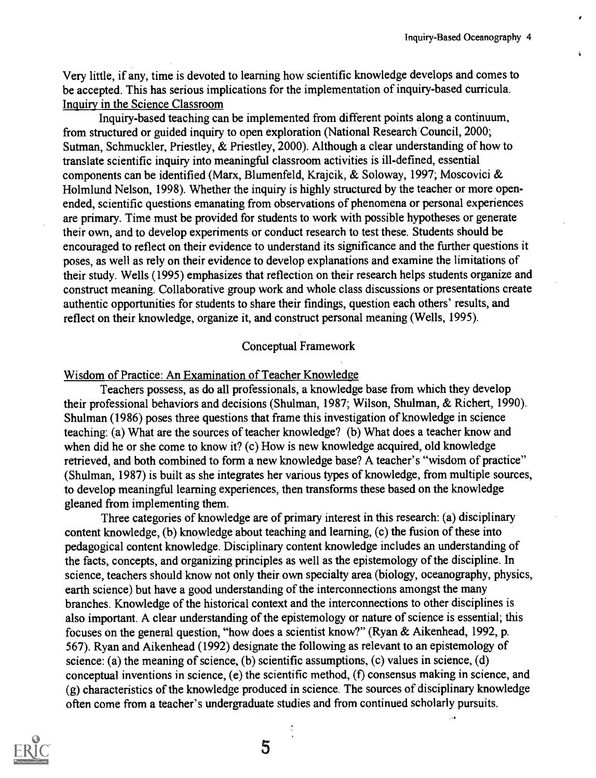Very little, if any, time is devoted to learning how scientific knowledge develops and comes to be accepted. This has serious implications for the implementation of inquiry-based curricula. Inquiry in the Science Classroom

Inquiry-based teaching can be implemented from different points along a continuum, from structured or guided inquiry to open exploration (National Research Council, 2000; Sutman, Schmuckler, Priestley, & Priestley, 2000). Although a clear understanding of how to translate scientific inquiry into meaningful classroom activities is ill-defined, essential components can be identified (Marx, Blumenfeld, Krajcik, & Soloway, 1997; Moscovici & Holmlund Nelson, 1998). Whether the inquiry is highly structured by the teacher or more openended, scientific questions emanating from observations of phenomena or personal experiences are primary. Time must be provided for students to work with possible hypotheses or generate their own, and to develop experiments or conduct research to test these. Students should be encouraged to reflect on their evidence to understand its significance and the further questions it poses, as well as rely on their evidence to develop explanations and examine the limitations of their study. Wells (1995) emphasizes that reflection on their research helps students organize and construct meaning. Collaborative group work and whole class discussions or presentations create authentic opportunities for students to share their findings, question each others' results, and reflect on their knowledge, organize it, and construct personal meaning (Wells, 1995).

#### Conceptual Framework

#### Wisdom of Practice: An Examination of Teacher Knowledge

Teachers possess, as do all professionals, a knowledge base from which they develop their professional behaviors and decisions (Shulman, 1987; Wilson, Shulman, & Richert, 1990). Shulman (1986) poses three questions that frame this investigation of knowledge in science teaching: (a) What are the sources of teacher knowledge? (b) What does a teacher know and when did he or she come to know it? (c) How is new knowledge acquired, old knowledge retrieved, and both combined to form a new knowledge base? A teacher's "wisdom of practice" (Shulman, 1987) is built as she integrates her various types of knowledge, from multiple sources, to develop meaningful learning experiences, then transforms these based on the knowledge gleaned from implementing them.

Three categories of knowledge are of primary interest in this research: (a) disciplinary content knowledge, (b) knowledge about teaching and learning, (c) the fusion of these into pedagogical content knowledge. Disciplinary content knowledge includes an understanding of the facts, concepts, and organizing principles as well as the epistemology of the discipline. In science, teachers should know not only their own specialty area (biology, oceanography, physics, earth science) but have a good understanding of the interconnections amongst the many branches. Knowledge of the historical context and the interconnections to other disciplines is also important. A clear understanding of the epistemology or nature of science is essential; this focuses on the general question, "how does a scientist know?" (Ryan & Aikenhead, 1992, p. 567). Ryan and Aikenhead (1992) designate the following as relevant to an epistemology of science: (a) the meaning of science, (b) scientific assumptions, (c) values in science, (d) conceptual inventions in science, (e) the scientific method, (f) consensus making in science, and (g) characteristics of the knowledge produced in science. The sources of disciplinary knowledge often come from a teacher's undergraduate studies and from continued scholarly pursuits.

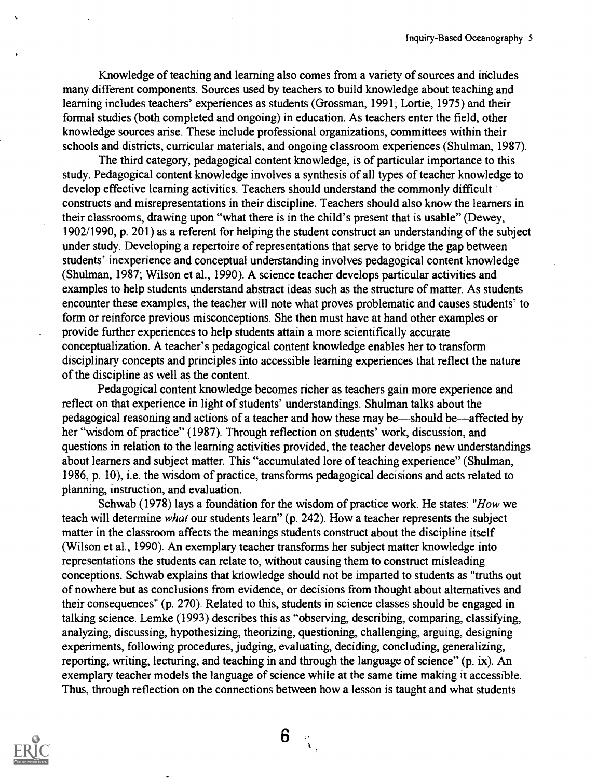Knowledge of teaching and learning also comes from a variety of sources and includes many different components. Sources used by teachers to build knowledge about teaching and learning includes teachers' experiences as students (Grossman, 1991; Lortie, 1975) and their formal studies (both completed and ongoing) in education. As teachers enter the field, other knowledge sources arise. These include professional organizations, committees within their schools and districts, curricular materials, and ongoing classroom experiences (Shulman, 1987).

The third category, pedagogical content knowledge, is of particular importance to this study. Pedagogical content knowledge involves a synthesis of all types of teacher knowledge to develop effective learning activities. Teachers should understand the commonly difficult constructs and misrepresentations in their discipline. Teachers should also know the learners in their classrooms, drawing upon "what there is in the child's present that is usable" (Dewey, 1902/1990, p. 201) as a referent for helping the student construct an understanding of the subject under study. Developing a repertoire of representations that serve to bridge the gap between students' inexperience and conceptual understanding involves pedagogical content knowledge (Shulman, 1987; Wilson et al., 1990). A science teacher develops particular activities and examples to help students understand abstract ideas such as the structure of matter. As students encounter these examples, the teacher will note what proves problematic and causes students' to form or reinforce previous misconceptions. She then must have at hand other examples or provide further experiences to help students attain a more scientifically accurate conceptualization. A teacher's pedagogical content knowledge enables her to transform disciplinary concepts and principles into accessible learning experiences that reflect the nature of the discipline as well as the content.

Pedagogical content knowledge becomes richer as teachers gain more experience and reflect on that experience in light of students' understandings. Shulman talks about the pedagogical reasoning and actions of a teacher and how these may be—should be—affected by her "wisdom of practice" (1987). Through reflection on students' work, discussion, and questions in relation to the learning activities provided, the teacher develops new understandings about learners and subject matter. This "accumulated lore of teaching experience" (Shulman, 1986, p. 10), i.e. the wisdom of practice, transforms pedagogical decisions and acts related to planning, instruction, and evaluation.

Schwab (1978) lays a foundation for the wisdom of practice work. He states: "How we teach will determine what our students learn" (p. 242). How a teacher represents the subject matter in the classroom affects the meanings students construct about the discipline itself (Wilson et al., 1990). An exemplary teacher transforms her subject matter knowledge into representations the students can relate to, without causing them to construct misleading conceptions. Schwab explains that knowledge should not be imparted to students as "truths out of nowhere but as conclusions from evidence, or decisions from thought about alternatives and their consequences" (p. 270). Related to this, students in science classes should be engaged in talking science. Lemke (1993) describes this as "observing, describing, comparing, classifying, analyzing, discussing, hypothesizing, theorizing, questioning, challenging, arguing, designing experiments, following procedures, judging, evaluating, deciding, concluding, generalizing, reporting, writing, lecturing, and teaching in and through the language of science" (p. ix). An exemplary teacher models the language of science while at the same time making it accessible. Thus, through reflection on the connections between how a lesson is taught and what students

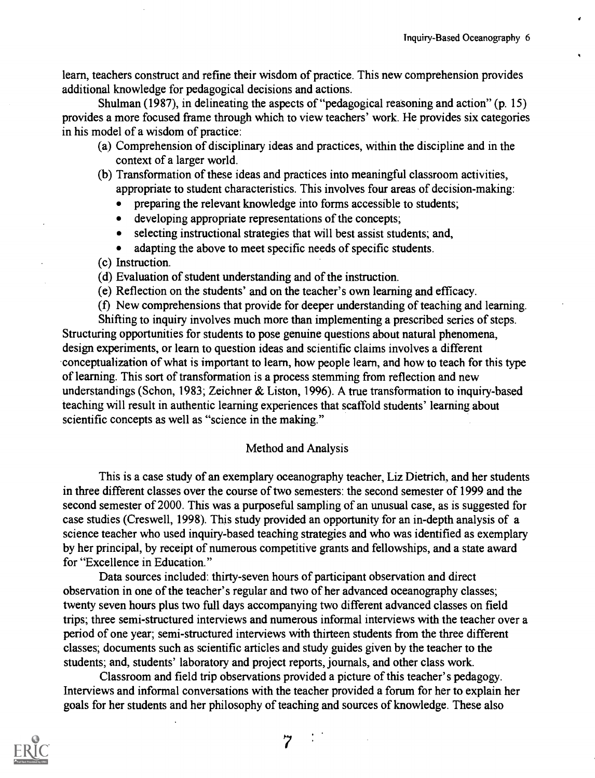learn, teachers construct and refine their wisdom of practice. This new comprehension provides additional knowledge for pedagogical decisions and actions.

Shulman (1987), in delineating the aspects of "pedagogical reasoning and action" (p. 15) provides a more focused frame through which to view teachers' work. He provides six categories in his model of a wisdom of practice:

- (a) Comprehension of disciplinary ideas and practices, within the discipline and in the context of a larger world.
- (b) Transformation of these ideas and practices into meaningful classroom activities, appropriate to student characteristics. This involves four areas of decision-making:
	- preparing the relevant knowledge into forms accessible to students;
	- developing appropriate representations of the concepts;
	- selecting instructional strategies that will best assist students; and,
	- adapting the above to meet specific needs of specific students.

(c) Instruction.

- (d) Evaluation of student understanding and of the instruction.
- (e) Reflection on the students' and on the teacher's own learning and efficacy.

(I) New comprehensions that provide for deeper understanding of teaching and learning. Shifting to inquiry involves much more than implementing a prescribed series of steps. Structuring opportunities for students to pose genuine questions about natural phenomena, design experiments, or learn to question ideas and scientific claims involves a different conceptualization of what is important to learn, how people learn, and how to teach for this type of learning. This sort of transformation is a process stemming from reflection and new understandings (Schon, 1983; Zeichner & Liston, 1996). A true transformation to inquiry-based teaching will result in authentic learning experiences that scaffold students' learning about scientific concepts as well as "science in the making."

#### Method and Analysis

This is a case study of an exemplary oceanography teacher, Liz Dietrich, and her students in three different classes over the course of two semesters: the second semester of 1999 and the second semester of 2000. This was a purposeful sampling of an unusual case, as is suggested for case studies (Creswell, 1998). This study provided an opportunity for an in-depth analysis of a science teacher who used inquiry-based teaching strategies and who was identified as exemplary by her principal, by receipt of numerous competitive grants and fellowships, and a state award for "Excellence in Education."

Data sources included: thirty-seven hours of participant observation and direct observation in one of the teacher's regular and two of her advanced oceanography classes; twenty seven hours plus two full days accompanying two different advanced classes on field trips; three semi-structured interviews and numerous informal interviews with the teacher over a period of one year; semi-structured interviews with thirteen students from the three different classes; documents such as scientific articles and study guides given by the teacher to the students; and, students' laboratory and project reports, journals, and other class work.

Classroom and field trip observations provided a picture of this teacher's pedagogy. Interviews and informal conversations with the teacher provided a forum for her to explain her goals for her students and her philosophy of teaching and sources of knowledge. These also

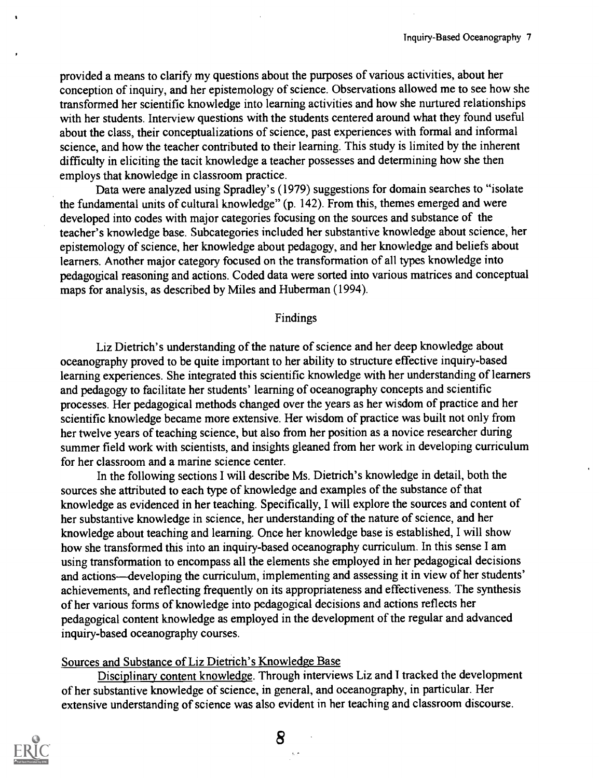provided a means to clarify my questions about the purposes of various activities, about her conception of inquiry, and her epistemology of science. Observations allowed me to see how she transformed her scientific knowledge into learning activities and how she nurtured relationships with her students. Interview questions with the students centered around what they found useful about the class, their conceptualizations of science, past experiences with formal and informal science, and how the teacher contributed to their learning. This study is limited by the inherent difficulty in eliciting the tacit knowledge a teacher possesses and determining how she then employs that knowledge in classroom practice.

Data were analyzed using Spradley's (1979) suggestions for domain searches to "isolate the fundamental units of cultural knowledge" (p. 142). From this, themes emerged and were developed into codes with major categories focusing on the sources and substance of the teacher's knowledge base. Subcategories included her substantive knowledge about science, her epistemology of science, her knowledge about pedagogy, and her knowledge and beliefs about learners. Another major category focused on the transformation of all types knowledge into pedagogical reasoning and actions. Coded data were sorted into various matrices and conceptual maps for analysis, as described by Miles and Huberman (1994).

#### Findings

Liz Dietrich's understanding of the nature of science and her deep knowledge about oceanography proved to be quite important to her ability to structure effective inquiry-based learning experiences. She integrated this scientific knowledge with her understanding of learners and pedagogy to facilitate her students' learning of oceanography concepts and scientific processes. Her pedagogical methods changed over the years as her wisdom of practice and her scientific knowledge became more extensive. Her wisdom of practice was built not only from her twelve years of teaching science, but also from her position as a novice researcher during summer field work with scientists, and insights gleaned from her work in developing curriculum for her classroom and a marine science center.

In the following sections I will describe Ms. Dietrich's knowledge in detail, both the sources she attributed to each type of knowledge and examples of the substance of that knowledge as evidenced in her teaching. Specifically, I will explore the sources and content of her substantive knowledge in science, her understanding of the nature of science, and her knowledge about teaching and learning. Once her knowledge base is established, I will show how she transformed this into an inquiry-based oceanography curriculum. In this sense I am using transformation to encompass all the elements she employed in her pedagogical decisions and actions—developing the curriculum, implementing and assessing it in view of her students' achievements, and reflecting frequently on its appropriateness and effectiveness. The synthesis of her various forms of knowledge into pedagogical decisions and actions reflects her pedagogical content knowledge as employed in the development of the regular and advanced inquiry-based oceanography courses.

### Sources and Substance of Liz Dietrich's Knowledge Base

Disciplinary content knowledge. Through interviews Liz and I tracked the development of her substantive knowledge of science, in general, and oceanography, in particular. Her extensive understanding of science was also evident in her teaching and classroom discourse.

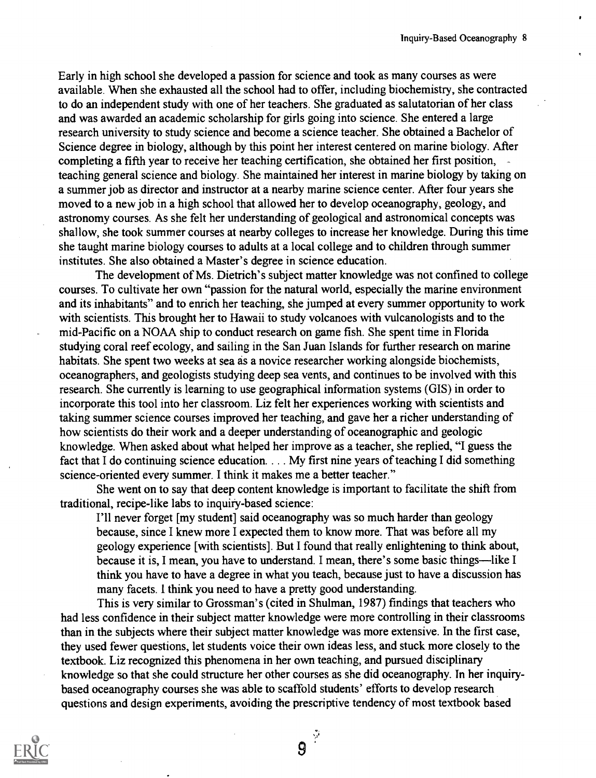Early in high school she developed a passion for science and took as many courses as were available. When she exhausted all the school had to offer, including biochemistry, she contracted to do an independent study with one of her teachers. She graduated as salutatorian of her class and was awarded an academic scholarship for girls going into science. She entered a large research university to study science and become a science teacher. She obtained a Bachelor of Science degree in biology, although by this point her interest centered on marine biology. After completing a fifth year to receive her teaching certification, she obtained her first position, teaching general science and biology. She maintained her interest in marine biology by taking on a summer job as director and instructor at a nearby marine science center. After four years she moved to a new job in a high school that allowed her to develop oceanography, geology, and astronomy courses. As she felt her understanding of geological and astronomical concepts was shallow, she took summer courses at nearby colleges to increase her knowledge. During this time she taught marine biology courses to adults at a local college and to children through summer institutes. She also obtained a Master's degree in science education.

The development of Ms. Dietrich's subject matter knowledge was not confined to college courses. To cultivate her own "passion for the natural world, especially the marine environment and its inhabitants" and to enrich her teaching, she jumped at every summer opportunity to work with scientists. This brought her to Hawaii to study volcanoes with vulcanologists and to the mid-Pacific on a NOAA ship to conduct research on game fish. She spent time in Florida studying coral reef ecology, and sailing in the San Juan Islands for further research on marine habitats. She spent two weeks at sea as a novice researcher working alongside biochemists, oceanographers, and geologists studying deep sea vents, and continues to be involved with this research. She currently is learning to use geographical information systems (GIS) in order to incorporate this tool into her classroom. Liz felt her experiences working with scientists and taking summer science courses improved her teaching, and gave her a richer understanding of how scientists do their work and a deeper understanding of oceanographic and geologic knowledge. When asked about what helped her improve as a teacher, she replied, "I guess the fact that I do continuing science education. . . . My first nine years of teaching I did something science-oriented every summer. I think it makes me a better teacher."

She went on to say that deep content knowledge is important to facilitate the shift from traditional, recipe-like labs to inquiry-based science:

I'll never forget [my student] said oceanography was so much harder than geology because, since I knew more I expected them to know more. That was before all my geology experience [with scientists]. But I found that really enlightening to think about, because it is, I mean, you have to understand. I mean, there's some basic things—like I think you have to have a degree in what you teach, because just to have a discussion has many facets. I think you need to have a pretty good understanding.

This is very similar to Grossman's (cited in Shulman, 1987) findings that teachers who had less confidence in their subject matter knowledge were more controlling in their classrooms than in the subjects where their subject matter knowledge was more extensive. In the first case, they used fewer questions, let students voice their own ideas less, and stuck more closely to the textbook. Liz recognized this phenomena in her own teaching, and pursued disciplinary knowledge so that she could structure her other courses as she did oceanography. In her inquirybased oceanography courses she was able to scaffold students' efforts to develop research questions and design experiments, avoiding the prescriptive tendency of most textbook based



9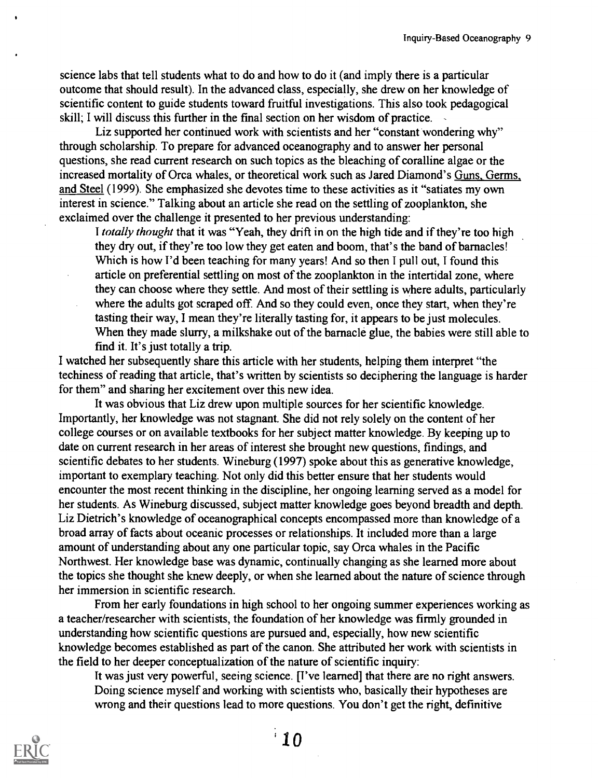science labs that tell students what to do and how to do it (and imply there is a particular outcome that should result). In the advanced class, especially, she drew on her knowledge of scientific content to guide students toward fruitful investigations. This also took pedagogical skill; I will discuss this further in the final section on her wisdom of practice.

Liz supported her continued work with scientists and her "constant wondering why" through scholarship. To prepare for advanced oceanography and to answer her personal questions, she read current research on such topics as the bleaching of coralline algae or the increased mortality of Orca whales, or theoretical work such as Jared Diamond's Guns, Germs, and Steel (1999). She emphasized she devotes time to these activities as it "satiates my own interest in science." Talking about an article she read on the settling of zooplankton, she exclaimed over the challenge it presented to her previous understanding:

I totally thought that it was "Yeah, they drift in on the high tide and if they're too high they dry out, if they're too low they get eaten and boom, that's the band of barnacles! Which is how I'd been teaching for many years! And so then I pull out, I found this article on preferential settling on most of the zooplankton in the intertidal zone, where they can choose where they settle. And most of their settling is where adults, particularly where the adults got scraped off. And so they could even, once they start, when they're tasting their way, I mean they're literally tasting for, it appears to be just molecules. When they made slurry, a milkshake out of the barnacle glue, the babies were still able to find it. It's just totally a trip.

I watched her subsequently share this article with her students, helping them interpret "the techiness of reading that article, that's written by scientists so deciphering the language is harder for them" and sharing her excitement over this new idea.

It was obvious that Liz drew upon multiple sources for her scientific knowledge. Importantly, her knowledge was not stagnant. She did not rely solely on the content of her college courses or on available textbooks for her subject matter knowledge. By keeping up to date on current research in her areas of interest she brought new questions, findings, and scientific debates to her students. Wineburg (1997) spoke about this as generative knowledge, important to exemplary teaching. Not only did this better ensure that her students would encounter the most recent thinking in the discipline, her ongoing learning served as a model for her students. As Wineburg discussed, subject matter knowledge goes beyond breadth and depth. Liz Dietrich's knowledge of oceanographical concepts encompassed more than knowledge of a broad array of facts about oceanic processes or relationships. It included more than a large amount of understanding about any one particular topic, say Orca whales in the Pacific Northwest. Her knowledge base was dynamic, continually changing as she learned more about the topics she thought she knew deeply, or when she learned about the nature of science through her immersion in scientific research.

From her early foundations in high school to her ongoing summer experiences working as a teacher/researcher with scientists, the foundation of her knowledge was firmly grounded in understanding how scientific questions are pursued and, especially, how new scientific knowledge becomes established as part of the canon. She attributed her work with scientists in the field to her deeper conceptualization of the nature of scientific inquiry:

It was just very powerful, seeing science. [I've learned] that there are no right answers. Doing science myself and working with scientists who, basically their hypotheses are wrong and their questions lead to more questions. You don't get the right, definitive

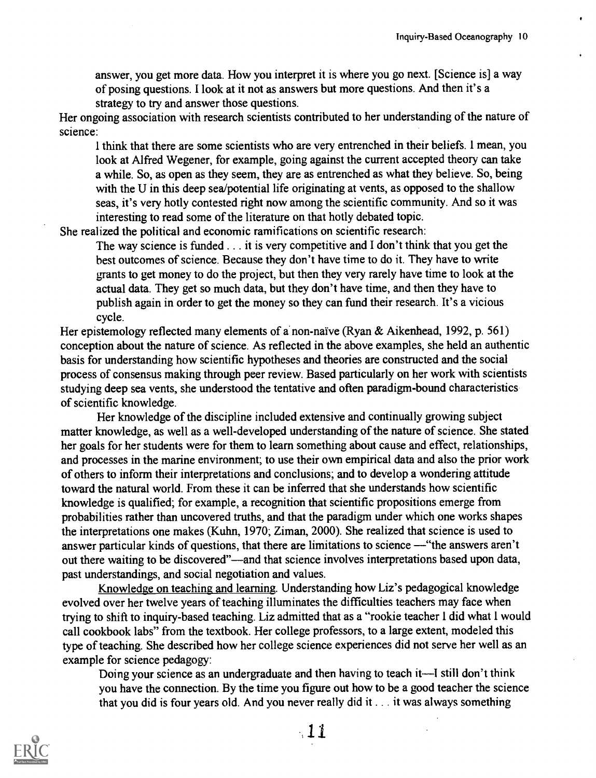answer, you get more data. How you interpret it is where you go next. [Science is] a way of posing questions. I look at it not as answers but more questions. And then it's a strategy to try and answer those questions.

Her ongoing association with research scientists contributed to her understanding of the nature of science:

I think that there are some scientists who are very entrenched in their beliefs. I mean, you look at Alfred Wegener, for example, going against the current accepted theory can take a while. So, as open as they seem, they are as entrenched as what they believe. So, being with the U in this deep sea/potential life originating at vents, as opposed to the shallow seas, it's very hotly contested right now among the scientific community. And so it was interesting to read some of the literature on that hotly debated topic.

She realized the political and economic ramifications on scientific research:

The way science is funded . . . it is very competitive and I don't think that you get the best outcomes of science. Because they don't have time to do it. They have to write grants to get money to do the project, but then they very rarely have time to look at the actual data. They get so much data, but they don't have time, and then they have to publish again in order to get the money so they can fund their research. It's a vicious cycle.

Her epistemology reflected many elements of a non-naïve (Ryan & Aikenhead, 1992, p. 561) conception about the nature of science. As reflected in the above examples, she held an authentic basis for understanding how scientific hypotheses and theories are constructed and the social process of consensus making through peer review. Based particularly on her work with scientists studying deep sea vents, she understood the tentative and often paradigm-bound characteristics of scientific knowledge.

Her knowledge of the discipline included extensive and continually growing subject matter knowledge, as well as a well-developed understanding of the nature of science. She stated her goals for her students were for them to learn something about cause and effect, relationships, and processes in the marine environment; to use their own empirical data and also the prior work of others to inform their interpretations and conclusions; and to develop a wondering attitude toward the natural world. From these it can be inferred that she understands how scientific knowledge is qualified; for example, a recognition that scientific propositions emerge from probabilities rather than uncovered truths, and that the paradigm under which one works shapes the interpretations one makes (Kuhn, 1970; Ziman, 2000). She realized that science is used to answer particular kinds of questions, that there are limitations to science — "the answers aren't out there waiting to be discovered"—and that science involves interpretations based upon data, past understandings, and social negotiation and values.

Knowledge on teaching and learning. Understanding how Liz's pedagogical knowledge evolved over her twelve years of teaching illuminates the difficulties teachers may face when trying to shift to inquiry-based teaching. Liz admitted that as a "rookie teacher I did what 1 would call cookbook labs" from the textbook. Her college professors, to a large extent, modeled this type of teaching. She described how her college science experiences did not serve her well as an example for science pedagogy:

Doing your science as an undergraduate and then having to teach it—I still don't think you have the connection. By the time you figure out how to be a good teacher the science that you did is four years old. And you never really did it . . . it was always something

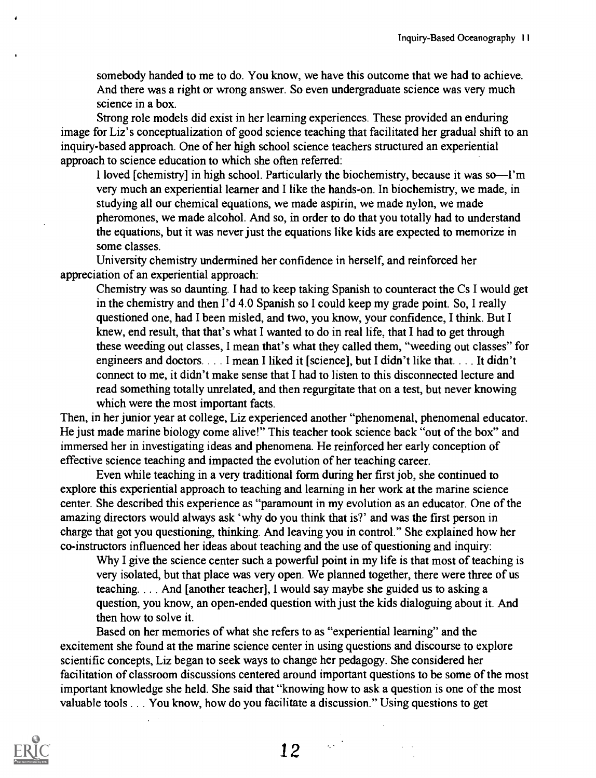somebody handed to me to do. You know, we have this outcome that we had to achieve. And there was a right or wrong answer. So even undergraduate science was very much science in a box.

Strong role models did exist in her learning experiences. These provided an enduring image for Liz's conceptualization of good science teaching that facilitated her gradual shift to an inquiry-based approach. One of her high school science teachers structured an experiential approach to science education to which she often referred:

1 loved [chemistry] in high school. Particularly the biochemistry, because it was so-I'm very much an experiential learner and I like the hands-on. In biochemistry, we made, in studying all our chemical equations, we made aspirin, we made nylon, we made pheromones, we made alcohol. And so, in order to do that you totally had to understand the equations, but it was never just the equations like kids are expected to memorize in some classes.

University chemistry undermined her confidence in herself, and reinforced her appreciation of an experiential approach:

Chemistry was so daunting. I had to keep taking Spanish to counteract the Cs I would get in the chemistry and then I'd 4.0 Spanish so I could keep my grade point. So, I really questioned one, had I been misled, and two, you know, your confidence, I think. But I knew, end result, that that's what I wanted to do in real life, that I had to get through these weeding out classes, I mean that's what they called them, "weeding out classes" for engineers and doctors. . . . I mean I liked it [science], but I didn't like that. . . . It didn't connect to me, it didn't make sense that I had to listen to this disconnected lecture and read something totally unrelated, and then regurgitate that on a test, but never knowing which were the most important facts.

Then, in her junior year at college, Liz experienced another "phenomenal, phenomenal educator. He just made marine biology come alive!" This teacher took science back "out of the box" and immersed her in investigating ideas and phenomena. He reinforced her early conception of effective science teaching and impacted the evolution of her teaching career.

Even while teaching in a very traditional form during her first job, she continued to explore this experiential approach to teaching and learning in her work at the marine science center. She described this experience as "paramount in my evolution as an educator. One of the amazing directors would always ask 'why do you think that is?' and was the first person in charge that got you questioning, thinking. And leaving you in control." She explained how her co-instructors influenced her ideas about teaching and the use of questioning and inquiry:

Why I give the science center such a powerful point in my life is that most of teaching is very isolated, but that place was very open. We planned together, there were three of us teaching. . . . And [another teacher], I would say maybe she guided us to asking a question, you know, an open-ended question with just the kids dialoguing about it. And then how to solve it.

Based on her memories of what she refers to as "experiential learning" and the excitement she found at the marine science center in using questions and discourse to explore scientific concepts, Liz began to seek ways to change her pedagogy. She considered her facilitation of classroom discussions centered around important questions to be some of the most important knowledge she held. She said that "knowing how to ask a question is one of the most valuable tools . . . You know, how do you facilitate a discussion." Using questions to get



 $\mathcal{L}^{(1)}$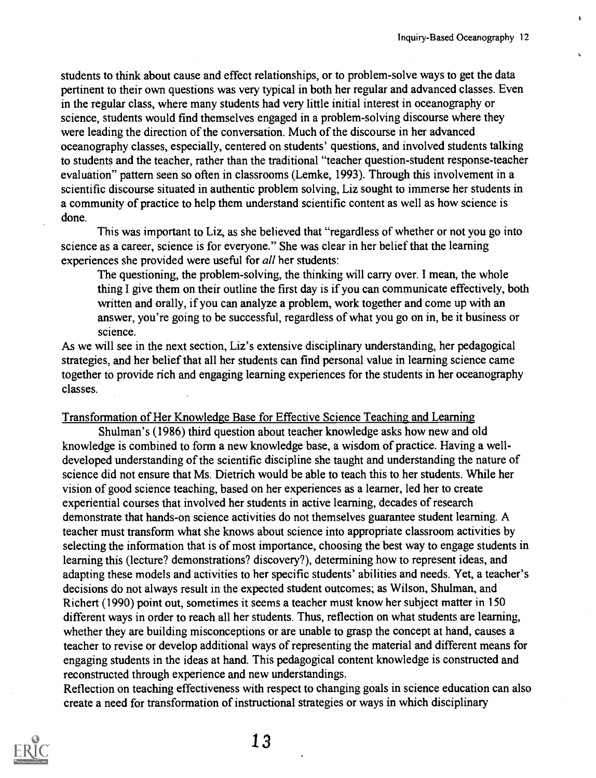students to think about cause and effect relationships, or to problem-solve ways to get the data pertinent to their own questions was very typical in both her regular and advanced classes. Even in the regular class, where many students had very little initial interest in oceanography or science, students would find themselves engaged in a problem-solving discourse where they were leading the direction of the conversation. Much of the discourse in her advanced oceanography classes, especially, centered on students' questions, and involved students talking to students and the teacher, rather than the traditional "teacher question-student response-teacher evaluation" pattern seen so often in classrooms (Lemke, 1993). Through this involvement in a scientific discourse situated in authentic problem solving, Liz sought to immerse her students in a community of practice to help them understand scientific content as well as how science is done.

This was important to Liz, as she believed that "regardless of whether or not you go into science as a career, science is for everyone." She was clear in her belief that the learning experiences she provided were useful for all her students:

The questioning, the problem-solving, the thinking will carry over. I mean, the whole thing I give them on their outline the first day is if you can communicate effectively, both written and orally, if you can analyze a problem, work together and come up with an answer, you're going to be successful, regardless of what you go on in, be it business or science.

As we will see in the next section, Liz's extensive disciplinary understanding, her pedagogical strategies, and her belief that all her students can find personal value in learning science came together to provide rich and engaging learning experiences for the students in her oceanography classes.

Transformation of Her Knowledge Base for Effective Science Teaching and Learning

Shulman's (1986) third question about teacher knowledge asks how new and old knowledge is combined to form a new knowledge base, a wisdom of practice. Having a welldeveloped understanding of the scientific discipline she taught and understanding the nature of science did not ensure that Ms. Dietrich would be able to teach this to her students. While her vision of good science teaching, based on her experiences as a learner, led her to create experiential courses that involved her students in active learning, decades of research demonstrate that hands-on science activities do not themselves guarantee student learning. A teacher must transform what she knows about science into appropriate classroom activities by selecting the information that is of most importance, choosing the best way to engage students in learning this (lecture? demonstrations? discovery?), determining how to represent ideas, and adapting these models and activities to her specific students' abilities and needs. Yet, a teacher's decisions do not always result in the expected student outcomes; as Wilson, Shulman, and Richert (1990) point out, sometimes it seems a teacher must know her subject matter in 150 different ways in order to reach all her students. Thus, reflection on what students are learning, whether they are building misconceptions or are unable to grasp the concept at hand, causes a teacher to revise or develop additional ways of representing the material and different means for engaging students in the ideas at hand. This pedagogical content knowledge is constructed and reconstructed through experience and new understandings.

Reflection on teaching effectiveness with respect to changing goals in science education can also create a need for transformation of instructional strategies or ways in which disciplinary

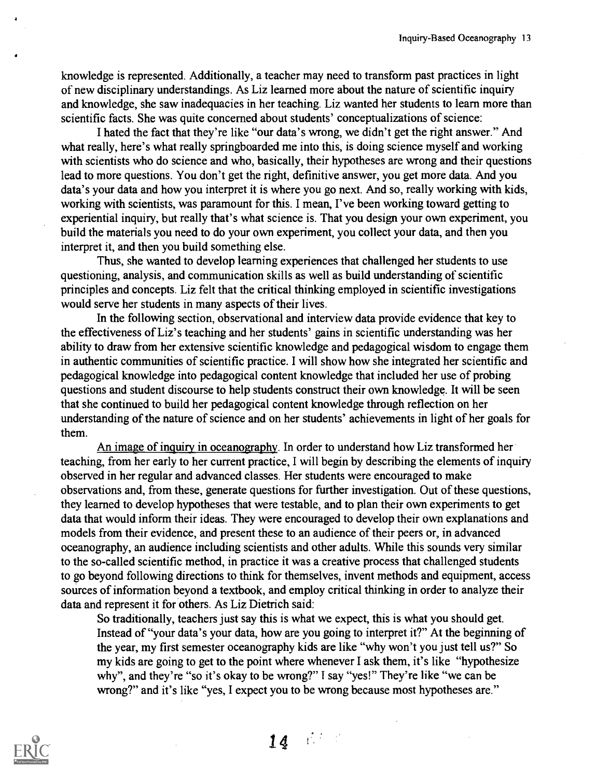knowledge is represented. Additionally, a teacher may need to transform past practices in light of new disciplinary understandings. As Liz learned more about the nature of scientific inquiry and knowledge, she saw inadequacies in her teaching. Liz wanted her students to learn more than scientific facts. She was quite concerned about students' conceptualizations of science:

I hated the fact that they're like "our data's wrong, we didn't get the right answer." And what really, here's what really springboarded me into this, is doing science myself and working with scientists who do science and who, basically, their hypotheses are wrong and their questions lead to more questions. You don't get the right, definitive answer, you get more data. And you data's your data and how you interpret it is where you go next. And so, really working with kids, working with scientists, was paramount for this. I mean, I've been working toward getting to experiential inquiry, but really that's what science is. That you design your own experiment, you build the materials you need to do your own experiment, you collect your data, and then you interpret it, and then you build something else.

Thus, she wanted to develop learning experiences that challenged her students to use questioning, analysis, and communication skills as well as build understanding of scientific principles and concepts. Liz felt that the critical thinking employed in scientific investigations would serve her students in many aspects of their lives.

In the following section, observational and interview data provide evidence that key to the effectiveness of Liz's teaching and her students' gains in scientific understanding was her ability to draw from her extensive scientific knowledge and pedagogical wisdom to engage them in authentic communities of scientific practice. I will show how she integrated her scientific and pedagogical knowledge into pedagogical content knowledge that included her use of probing questions and student discourse to help students construct their own knowledge. It will be seen that she continued to build her pedagogical content knowledge through reflection on her understanding of the nature of science and on her students' achievements in light of her goals for them.

An image of inquiry in oceanography. In order to understand how Liz transformed her teaching, from her early to her current practice, I will begin by describing the elements of inquiry observed in her regular and advanced classes. Her students were encouraged to make observations and, from these, generate questions for further investigation. Out of these questions, they learned to develop hypotheses that were testable, and to plan their own experiments to get data that would inform their ideas. They were encouraged to develop their own explanations and models from their evidence, and present these to an audience of their peers or, in advanced oceanography, an audience including scientists and other adults. While this sounds very similar to the so-called scientific method, in practice it was a creative process that challenged students to go beyond following directions to think for themselves, invent methods and equipment, access sources of information beyond a textbook, and employ critical thinking in order to analyze their data and represent it for others. As Liz Dietrich said:

So traditionally, teachers just say this is what we expect, this is what you should get. Instead of "your data's your data, how are you going to interpret it?" At the beginning of the year, my first semester oceanography kids are like "why won't you just tell us?" So my kids are going to get to the point where whenever I ask them, it's like "hypothesize why", and they're "so it's okay to be wrong?" I say "yes!" They're like "we can be wrong?" and it's like "yes, I expect you to be wrong because most hypotheses are."

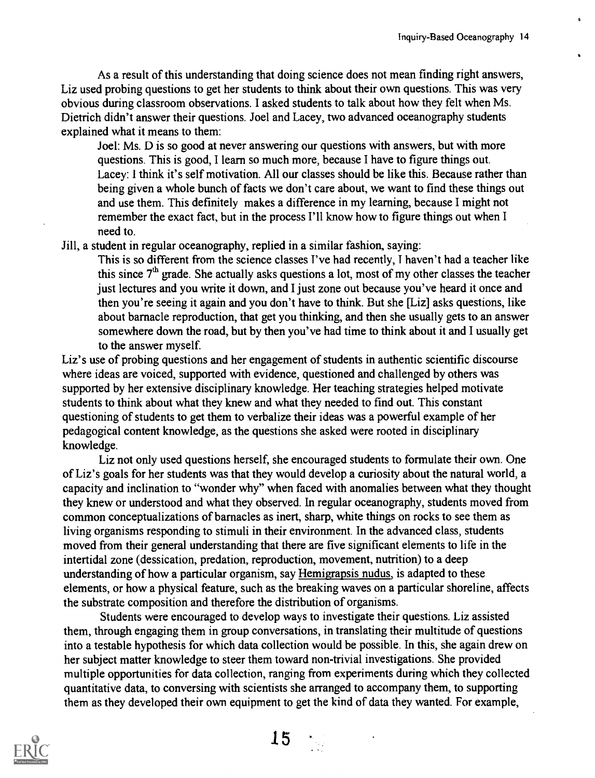As a result of this understanding that doing science does not mean finding right answers, Liz used probing questions to get her students to think about their own questions. This was very obvious during classroom observations. I asked students to talk about how they felt when Ms. Dietrich didn't answer their questions. Joel and Lacey, two advanced oceanography students explained what it means to them:

Joel: Ms. D is so good at never answering our questions with answers, but with more questions. This is good, I learn so much more, because I have to figure things out. Lacey: I think it's self motivation. All our classes should be like this. Because rather than being given a whole bunch of facts we don't care about, we want to find these things out and use them. This definitely makes a difference in my learning, because I might not remember the exact fact, but in the process I'll know how to figure things out when I need to.

Jill, a student in regular oceanography, replied in a similar fashion, saying:

This is so different from the science classes I've had recently, I haven't had a teacher like this since  $7<sup>th</sup>$  grade. She actually asks questions a lot, most of my other classes the teacher just lectures and you write it down, and I just zone out because you've heard it once and then you're seeing it again and you don't have to think. But she [Liz] asks questions, like about barnacle reproduction, that get you thinking, and then she usually gets to an answer somewhere down the road, but by then you've had time to think about it and I usually get to the answer myself.

Liz's use of probing questions and her engagement of students in authentic scientific discourse where ideas are voiced, supported with evidence, questioned and challenged by others was supported by her extensive disciplinary knowledge. Her teaching strategies helped motivate students to think about what they knew and what they needed to find out. This constant questioning of students to get them to verbalize their ideas was a powerful example of her pedagogical content knowledge, as the questions she asked were rooted in disciplinary knowledge.

Liz not only used questions herself, she encouraged students to formulate their own. One of Liz's goals for her students was that they would develop a curiosity about the natural world, a capacity and inclination to "wonder why" when faced with anomalies between what they thought they knew or understood and what they observed. In regular oceanography, students moved from common conceptualizations of barnacles as inert, sharp, white things on rocks to see them as living organisms responding to stimuli in their environment. In the advanced class, students moved from their general understanding that there are five significant elements to life in the intertidal zone (dessication, predation, reproduction, movement, nutrition) to a deep understanding of how a particular organism, say Hemigrapsis nudus, is adapted to these elements, or how a physical feature, such as the breaking waves on a particular shoreline, affects the substrate composition and therefore the distribution of organisms.

Students were encouraged to develop ways to investigate their questions. Liz assisted them, through engaging them in group conversations, in translating their multitude of questions into a testable hypothesis for which data collection would be possible. In this, she again drew on her subject matter knowledge to steer them toward non-trivial investigations. She provided multiple opportunities for data collection, ranging from experiments during which they collected quantitative data, to conversing with scientists she arranged to accompany them, to supporting them as they developed their own equipment to get the kind of data they wanted. For example,

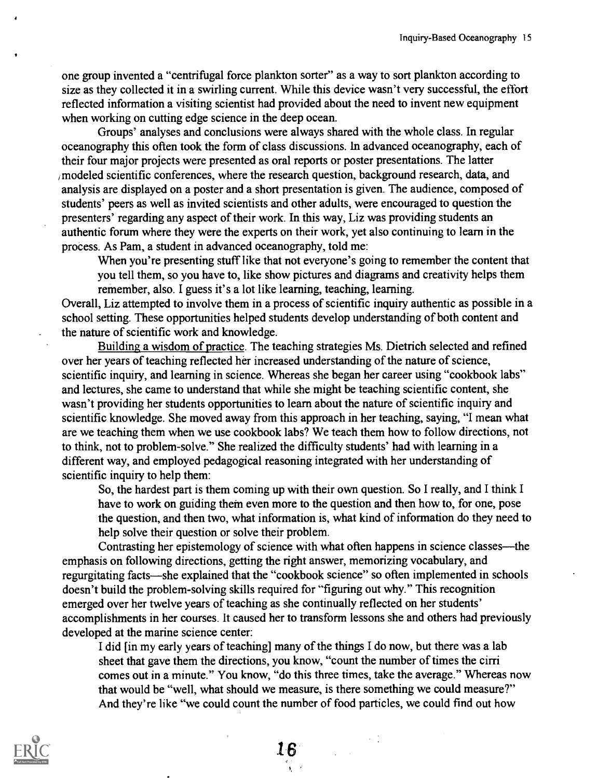one group invented a "centrifugal force plankton sorter" as a way to sort plankton according to size as they collected it in a swirling current. While this device wasn't very successful, the effort reflected information a visiting scientist had provided about the need to invent new equipment when working on cutting edge science in the deep ocean.

Groups' analyses and conclusions were always shared with the whole class. In regular oceanography this often took the form of class discussions. In advanced oceanography, each of their four major projects were presented as oral reports or poster presentations. The latter /modeled scientific conferences, where the research question, background research, data, and analysis are displayed on a poster and a short presentation is given. The audience, composed of students' peers as well as invited scientists and other adults, were encouraged to question the presenters' regarding any aspect of their work. In this way, Liz was providing students an authentic forum where they were the experts on their work, yet also continuing to learn in the process. As Pam, a student in advanced oceanography, told me:

When you're presenting stuff like that not everyone's going to remember the content that you tell them, so you have to, like show pictures and diagrams and creativity helps them remember, also. I guess it's a lot like learning, teaching, learning.

Overall, Liz attempted to involve them in a process of scientific inquiry authentic as possible in a school setting. These opportunities helped students develop understanding of both content and the nature of scientific work and knowledge.

Building a wisdom of practice. The teaching strategies Ms. Dietrich selected and refined over her years of teaching reflected her increased understanding of the nature of science, scientific inquiry, and learning in science. Whereas she began her career using "cookbook labs" and lectures, she came to understand that while she might be teaching scientific content, she wasn't providing her students opportunities to learn about the nature of scientific inquiry and scientific knowledge. She moved away from this approach in her teaching, saying, "I mean what are we teaching them when we use cookbook labs? We teach them how to follow directions, not to think, not to problem-solve." She realized the difficulty students' had with learning in a different way, and employed pedagogical reasoning integrated with her understanding of scientific inquiry to help them:

So, the hardest part is them coming up with their own question. So I really, and I think I have to work on guiding them even more to the question and then how to, for one, pose the question, and then two, what information is, what kind of information do they need to help solve their question or solve their problem.

Contrasting her epistemology of science with what often happens in science classes—the emphasis on following directions, getting the right answer, memorizing vocabulary, and regurgitating facts—she explained that the "cookbook science" so often implemented in schools doesn't build the problem-solving skills required for "figuring out why." This recognition emerged over her twelve years of teaching as she continually reflected on her students' accomplishments in her courses. It caused her to transform lessons she and others had previously developed at the marine science center:

I did [in my early years of teaching] many of the things I do now, but there was a lab sheet that gave them the directions, you know, "count the number of times the cirri comes out in a minute." You know, "do this three times, take the average." Whereas now that would be "well, what should we measure, is there something we could measure?" And they're like "we could count the number of food particles, we could find out how

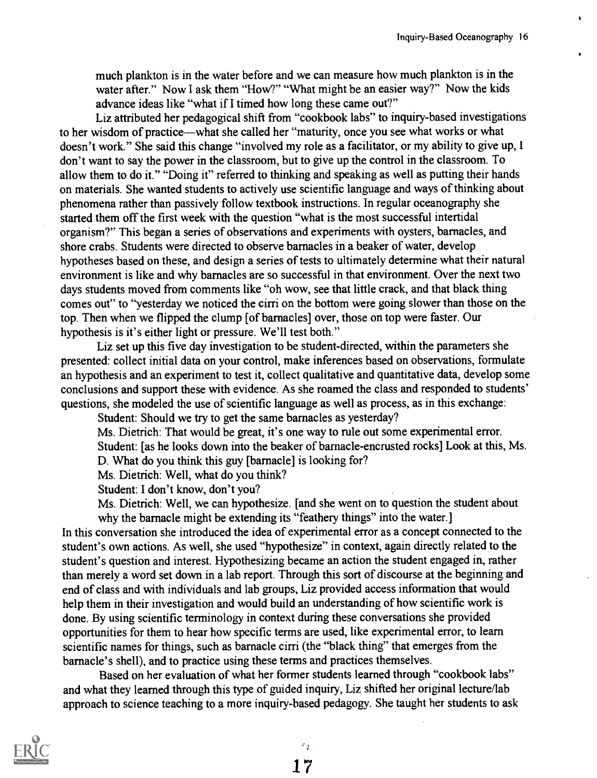much plankton is in the water before and we can measure how much plankton is in the water after." Now I ask them "How?" "What might be an easier way?" Now the kids advance ideas like "what if I timed how long these came out?"

Liz attributed her pedagogical shift from "cookbook labs" to inquiry-based investigations to her wisdom of practice—what she called her "maturity, once you see what works or what doesn't work." She said this change "involved my role as a facilitator, or my ability to give up, I don't want to say the power in the classroom, but to give up the control in the classroom. To allow them to do it." "Doing it" referred to thinking and speaking as well as putting their hands on materials. She wanted students to actively use scientific language and ways of thinking about phenomena rather than passively follow textbook instructions. In regular oceanography she started them off the first week with the question "what is the most successful intertidal organism?" This began a series of observations and experiments with oysters, barnacles, and shore crabs. Students were directed to observe barnacles in a beaker of water, develop hypotheses based on these, and design a series of tests to ultimately determine what their natural environment is like and why barnacles are so successful in that environment. Over the next two days students moved from comments like "oh wow, see that little crack, and that black thing comes out" to "yesterday we noticed the cirri on the bottom were going slower than those on the top. Then when we flipped the clump [of barnacles] over, those on top were faster. Our hypothesis is it's either light or pressure. We'll test both."

Liz set up this five day investigation to be student-directed, within the parameters she presented: collect initial data on your control, make inferences based on observations, formulate an hypothesis and an experiment to test it, collect qualitative and quantitative data, develop some conclusions and support these with evidence. As she roamed the class and responded to students' questions, she modeled the use of scientific language as well as process, as in this exchange:

Student: Should we try to get the same barnacles as yesterday?

Ms. Dietrich: That would be great, it's one way to rule out some experimental error. Student: [as he looks down into the beaker of barnacle-encrusted rocks] Look at this, Ms. D. What do you think this guy [barnacle] is looking for?

Ms. Dietrich: Well, what do you think?

Student: I don't know, don't you?

Ms. Dietrich: Well, we can hypothesize. [and she went on to question the student about why the barnacle might be extending its "feathery things" into the water.

In this conversation she introduced the idea of experimental error as a concept connected to the student's own actions. As well, she used "hypothesize" in context, again directly related to the student's question and interest. Hypothesizing became an action the student engaged in, rather than merely a word set down in a lab report. Through this sort of discourse at the beginning and end of class and with individuals and lab groups, Liz provided access information that would help them in their investigation and would build an understanding of how scientific work is done. By using scientific terminology in context during these conversations she provided opportunities for them to hear how specific terms are used, like experimental error, to learn scientific names for things, such as barnacle cirri (the "black thing" that emerges from the barnacle's shell), and to practice using these terms and practices themselves.

Based on her evaluation of what her former students learned through "cookbook labs" and what they learned through this type of guided inquiry, Liz shifted her original lecture/lab approach to science teaching to a more inquiry-based pedagogy. She taught her students to ask

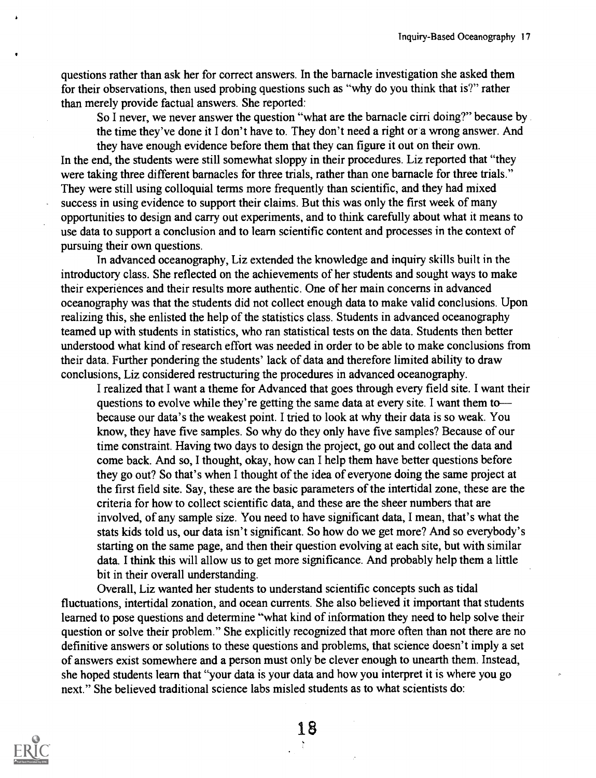questions rather than ask her for correct answers. In the barnacle investigation she asked them for their observations, then used probing questions such as "why do you think that is?" rather than merely provide factual answers. She reported:

So I never, we never answer the question "what are the barnacle cirri doing?" because by the time they've done it I don't have to. They don't need a right or a wrong answer. And

they have enough evidence before them that they can figure it out on their own. In the end, the students were still somewhat sloppy in their procedures. Liz reported that "they were taking three different barnacles for three trials, rather than one barnacle for three trials." They were still using colloquial terms more frequently than scientific, and they had mixed success in using evidence to support their claims. But this was only the first week of many opportunities to design and carry out experiments, and to think carefully about what it means to use data to support a conclusion and to learn scientific content and processes in the context of pursuing their own questions.

In advanced oceanography, Liz extended the knowledge and inquiry skills built in the introductory class. She reflected on the achievements of her students and sought ways to make their experiences and their results more authentic. One of her main concerns in advanced oceanography was that the students did not collect enough data to make valid conclusions. Upon realizing this, she enlisted the help of the statistics class. Students in advanced oceanography teamed up with students in statistics, who ran statistical tests on the data. Students then better understood what kind of research effort was needed in order to be able to make conclusions from their data. Further pondering the students' lack of data and therefore limited ability to draw conclusions, Liz considered restructuring the procedures in advanced oceanography.

I realized that I want a theme for Advanced that goes through every field site. I want their questions to evolve while they're getting the same data at every site. I want them to because our data's the weakest point. I tried to look at why their data is so weak. You know, they have five samples. So why do they only have five samples? Because of our time constraint. Having two days to design the project, go out and collect the data and come back. And so, I thought, okay, how can I help them have better questions before they go out? So that's when I thought of the idea of everyone doing the same project at the first field site. Say, these are the basic parameters of the intertidal zone, these are the criteria for how to collect scientific data, and these are the sheer numbers that are involved, of any sample size. You need to have significant data, I mean, that's what the stats kids told us, our data isn't significant. So how do we get more? And so everybody's starting on the same page, and then their question evolving at each site, but with similar data. I think this will allow us to get more significance. And probably help them a little bit in their overall understanding.

Overall, Liz wanted her students to understand scientific concepts such as tidal fluctuations, intertidal zonation, and ocean currents. She also believed it important that students learned to pose questions and determine "what kind of information they need to help solve their question or solve their problem." She explicitly recognized that more often than not there are no definitive answers or solutions to these questions and problems, that science doesn't imply a set of answers exist somewhere and a person must only be clever enough to unearth them. Instead, she hoped students learn that "your data is your data and how you interpret it is where you go next." She believed traditional science labs misled students as to what scientists do:

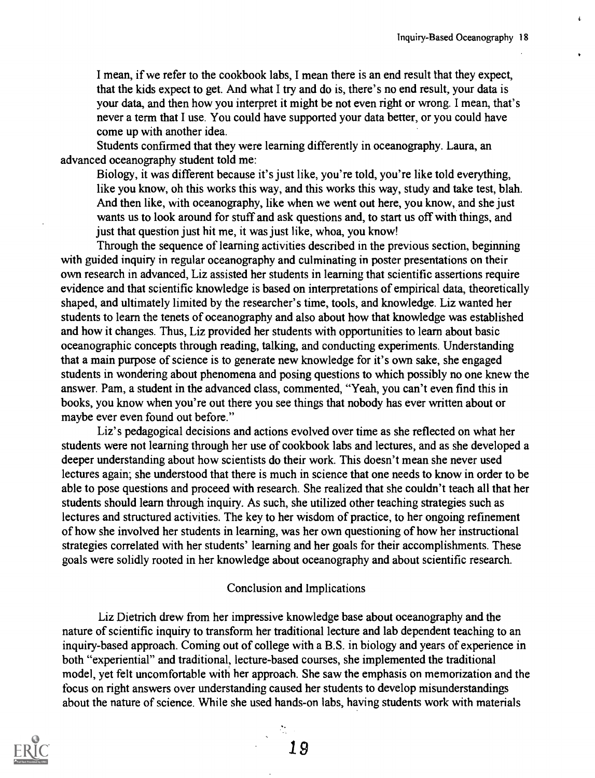I mean, if we refer to the cookbook labs, I mean there is an end result that they expect, that the kids expect to get. And what I try and do is, there's no end result, your data is your data, and then how you interpret it might be not even right or wrong. I mean, that's never a term that I use. You could have supported your data better, or you could have come up with another idea.

Students confirmed that they were learning differently in oceanography. Laura, an advanced oceanography student told me:

Biology, it was different because it's just like, you're told, you're like told everything, like you know, oh this works this way, and this works this way, study and take test, blah. And then like, with oceanography, like when we went out here, you know, and she just wants us to look around for stuff and ask questions and, to start us off with things, and just that question just hit me, it was just like, whoa, you know!

Through the sequence of learning activities described in the previous section, beginning with guided inquiry in regular oceanography and culminating in poster presentations on their own research in advanced, Liz assisted her students in learning that scientific assertions require evidence and that scientific knowledge is based on interpretations of empirical data, theoretically shaped, and ultimately limited by the researcher's time, tools, and knowledge. Liz wanted her students to learn the tenets of oceanography and also about how that knowledge was established and how it changes. Thus, Liz provided her students with opportunities to learn about basic oceanographic concepts through reading, talking, and conducting experiments. Understanding that a main purpose of science is to generate new knowledge for it's own sake, she engaged students in wondering about phenomena and posing questions to which possibly no one knew the answer. Pam, a student in the advanced class, commented, "Yeah, you can't even find this in books, you know when you're out there you see things that nobody has ever written about or maybe ever even found out before."

Liz's pedagogical decisions and actions evolved over time as she reflected on what her students were not learning through her use of cookbook labs and lectures, and as she developed a deeper understanding about how scientists do their work. This doesn't mean she never used lectures again; she understood that there is much in science that one needs to know in order to be able to pose questions and proceed with research. She realized that she couldn't teach all that her students should learn through inquiry. As such, she utilized other teaching strategies such as lectures and structured activities. The key to her wisdom of practice, to her ongoing refinement of how she involved her students in learning, was her own questioning of how her instructional strategies correlated with her students' learning and her goals for their accomplishments. These goals were solidly rooted in her knowledge about oceanography and about scientific research.

#### Conclusion and Implications

Liz Dietrich drew from her impressive knowledge base about oceanography and the nature of scientific inquiry to transform her traditional lecture and lab dependent teaching to an inquiry-based approach. Coming out of college with a B.S. in biology and years of experience in both "experiential" and traditional, lecture-based courses, she implemented the traditional model, yet felt uncomfortable with her approach. She saw the emphasis on memorization and the focus on right answers over understanding caused her students to develop misunderstandings about the nature of science. While she used hands-on labs, having students work with materials

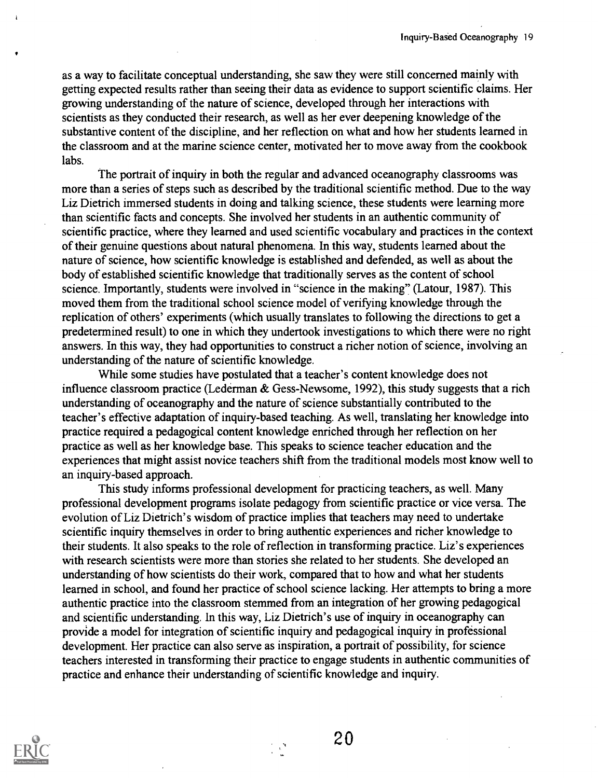as a way to facilitate conceptual understanding, she saw they were still concerned mainly with getting expected results rather than seeing their data as evidence to support scientific claims. Her growing understanding of the nature of science, developed through her interactions with scientists as they conducted their research, as well as her ever deepening knowledge of the substantive content of the discipline, and her reflection on what and how her students learned in the classroom and at the marine science center, motivated her to move away from the cookbook labs.

The portrait of inquiry in both the regular and advanced oceanography classrooms was more than a series of steps such as described by the traditional scientific method. Due to the way Liz Dietrich immersed students in doing and talking science, these students were learning more than scientific facts and concepts. She involved her students in an authentic community of scientific practice, where they learned and used scientific vocabulary and practices in the context of their genuine questions about natural phenomena. In this way, students learned about the nature of science, how scientific knowledge is established and defended, as well as about the body of established scientific knowledge that traditionally serves as the content of school science. Importantly, students were involved in "science in the making" (Latour, 1987). This moved them from the traditional school science model of verifying knowledge through the replication of others' experiments (which usually translates to following the directions to get a predetermined result) to one in which they undertook investigations to which there were no right answers. In this way, they had opportunities to construct a richer notion of science, involving an understanding of the nature of scientific knowledge.

While some studies have postulated that a teacher's content knowledge does not influence classroom practice (Lederman & Gess-Newsome, 1992), this study suggests that a rich understanding of oceanography and the nature of science substantially contributed to the teacher's effective adaptation of inquiry-based teaching. As well, translating her knowledge into practice required a pedagogical content knowledge enriched through her reflection on her practice as well as her knowledge base. This speaks to science teacher education and the experiences that might assist novice teachers shift from the traditional models most know well to an inquiry-based approach.

This study informs professional development for practicing teachers, as well. Many professional development programs isolate pedagogy from scientific practice or vice versa. The evolution of Liz Dietrich's wisdom of practice implies that teachers may need to undertake scientific inquiry themselves in order to bring authentic experiences and richer knowledge to their students. It also speaks to the role of reflection in transforming practice. Liz's experiences with research scientists were more than stories she related to her students. She developed an understanding of how scientists do their work, compared that to how and what her students learned in school, and found her practice of school science lacking. Her attempts to bring a more authentic practice into the classroom stemmed from an integration of her growing pedagogical and scientific understanding. In this way, Liz Dietrich's use of inquiry in oceanography can provide a model for integration of scientific inquiry and pedagogical inquiry in professional development. Her practice can also serve as inspiration, a portrait of possibility, for science teachers interested in transforming their practice to engage students in authentic communities of practice and enhance their understanding of scientific knowledge and inquiry.

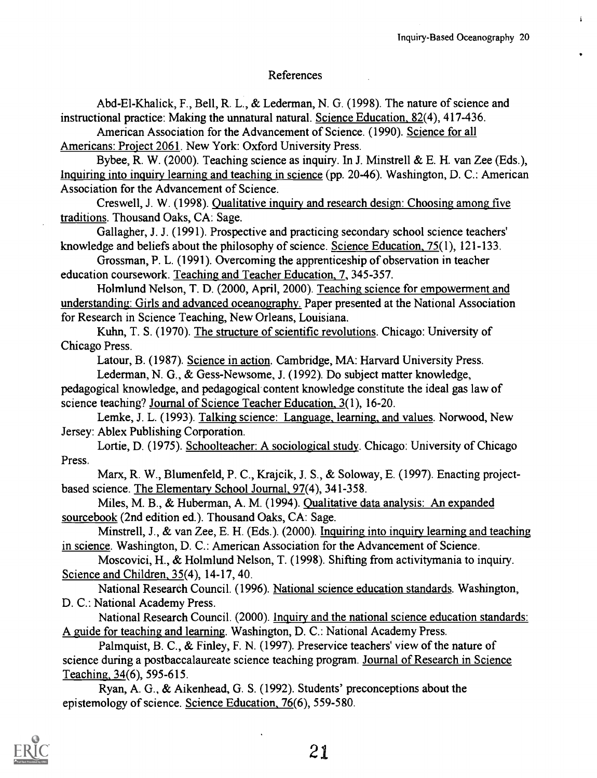#### References

Abd-El-Khalick, F., Bell, R. L., & Lederman, N. G. (1998). The nature of science and instructional practice: Making the unnatural natural. Science Education, 82(4), 417-436.

American Association for the Advancement of Science. (1990). Science for all Americans: Project 2061. New York: Oxford University Press.

Bybee, R. W. (2000). Teaching science as inquiry. In J. Minstrell & E. H. van Zee (Eds.), Inquiring into inquiry learning and teaching in science (pp. 20-46). Washington, D. C.: American Association for the Advancement of Science.

Creswell, J. W. (1998). Qualitative inquiry and research design: Choosing among five traditions. Thousand Oaks, CA: Sage.

Gallagher, J. J. (1991). Prospective and practicing secondary school science teachers' knowledge and beliefs about the philosophy of science. Science Education, 75(1), 121-133.

Grossman, P. L. (1991). Overcoming the apprenticeship of observation in teacher education coursework. Teaching and Teacher Education, 7, 345-357.

Holmlund Nelson, T. D. (2000, April, 2000). Teaching science for empowerment and understanding: Girls and advanced oceanography. Paper presented at the National Association for Research in Science Teaching, New Orleans, Louisiana.

Kuhn, T. S. (1970). The structure of scientific revolutions. Chicago: University of Chicago Press.

Latour, B. (1987). Science in action. Cambridge, MA: Harvard University Press.

Lederman, N. G., & Gess-Newsome, J. (1992). Do subject matter knowledge,

pedagogical knowledge, and pedagogical content knowledge constitute the ideal gas law of science teaching? Journal of Science Teacher Education, 3(1), 16-20.

Lemke, J. L. (1993). Talking science: Language, learning, and values. Norwood, New Jersey: Ablex Publishing Corporation.

Lortie, D. (1975). Schoolteacher: A sociological study. Chicago: University of Chicago Press.

Marx, R. W., Blumenfeld, P. C., Krajcik, J. S., & Soloway, E. (1997). Enacting projectbased science. The Elementary School Journal, 97(4), 341-358.

Miles, M. B., & Huberman, A. M. (1994). Qualitative data analysis: An expanded sourcebook (2nd edition ed.). Thousand Oaks, CA: Sage.

Minstrell, J., & van Zee, E. H. (Eds.). (2000). Inquiring into inquiry learning and teaching in science. Washington, D. C.: American Association for the Advancement of Science.

Moscovici, H., & Holmlund Nelson, T. (1998). Shifting from activitymania to inquiry. Science and Children, 35(4), 14-17, 40.

National Research Council. (1996). National science education standards. Washington, D. C.: National Academy Press.

National Research Council. (2000). Inquiry and the national science education standards: A guide for teaching and learning. Washington, D. C.: National Academy Press.

Palmquist, B. C., & Finley, F. N. (1997). Preservice teachers' view of the nature of science during a postbaccalaureate science teaching program. Journal of Research in Science Teaching, 34(6), 595-615.

Ryan, A. G., & Aikenhead, G. S. (1992). Students' preconceptions about the epistemology of science. Science Education, 76(6), 559-580.

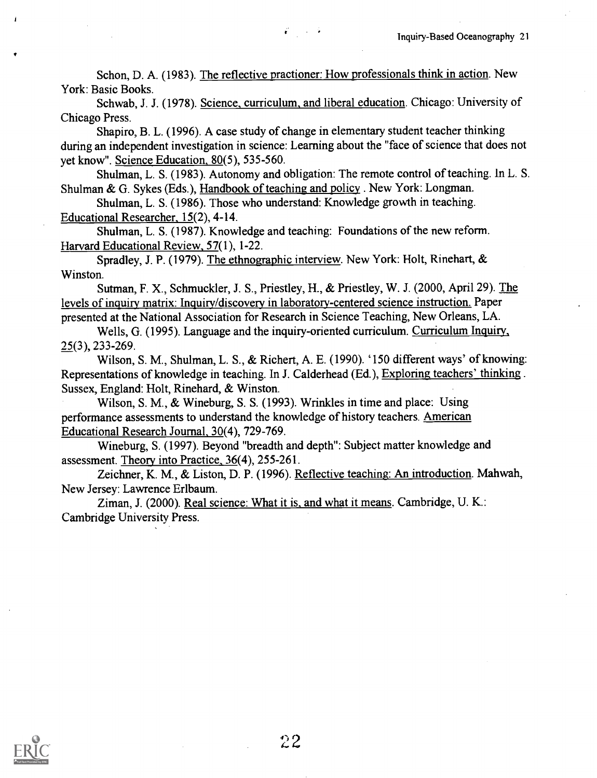Schon, D. A. (1983). The reflective practioner: How professionals think in action. New York: Basic Books.

 $\mathcal{L} = \{1, 2, \ldots \}$ 

Schwab, J. J. (1978). Science, curriculum, and liberal education. Chicago: University of Chicago Press.

Shapiro, B. L. (1996). A case study of change in elementary student teacher thinking during an independent investigation in science: Learning about the "face of science that does not yet know". Science Education, 80(5), 535-560.

Shulman, L. S. (1983). Autonomy and obligation: The remote control of teaching. In L. S. Shulman & G. Sykes (Eds.), Handbook of teaching and policy. New York: Longman.

Shulman, L. S. (1986). Those who understand: Knowledge growth in teaching. Educational Researcher, 15(2), 4-14.

Shulman, L. S. (1987). Knowledge and teaching: Foundations of the new reform. Harvard Educational Review, 57(1), 1-22.

Spradley, J. P. (1979). The ethnographic interview. New York: Holt, Rinehart, & Winston.

Sutman, F. X., Schmuckler, J. S., Priestley, H., & Priestley, W. J. (2000, April 29). The levels of inquiry matrix: Inquiry/discovery in laboratory-centered science instruction. Paper presented at the National Association for Research in Science Teaching, New Orleans, LA.

Wells, G. (1995). Language and the inquiry-oriented curriculum. Curriculum Inquiry, 25(3), 233-269.

Wilson, S. M., Shulman, L. S., & Richert, A. E. (1990). '150 different ways' of knowing: Representations of knowledge in teaching. In J. Calderhead (Ed.), Exploring teachers' thinking . Sussex, England: Holt, Rinehard, & Winston.

Wilson, S. M., & Wineburg, S. S. (1993). Wrinkles in time and place: Using performance assessments to understand the knowledge of history teachers. American Educational Research Journal, 30(4), 729-769.

Wineburg, S. (1997). Beyond "breadth and depth": Subject matter knowledge and assessment. Theory into Practice, 36(4), 255-261.

Zeichner, K. M., & Liston, D. P. (1996). Reflective teaching: An introduction. Mahwah, New Jersey: Lawrence Erlbaum.

Ziman, J. (2000). Real science: What it is, and what it means. Cambridge, U. K.: Cambridge University Press.

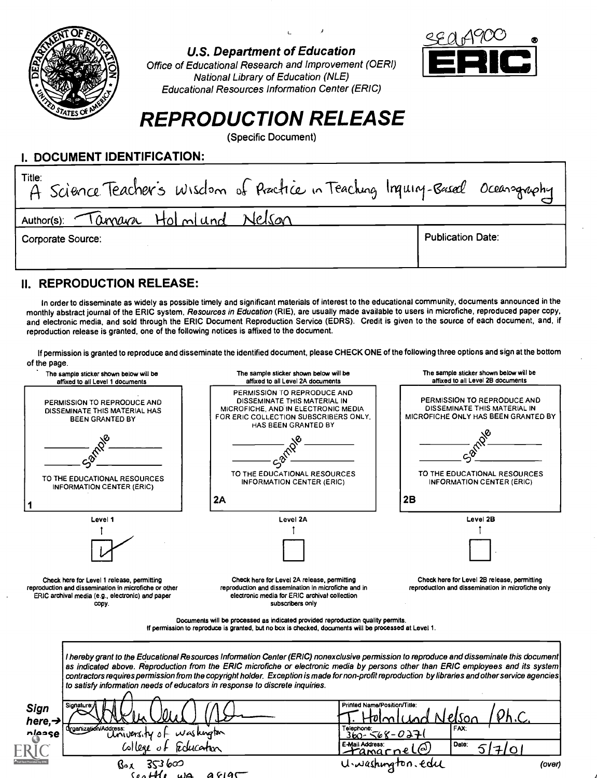

U.S. Department of Education

Office of Educational Research and Improvement (OERI) National Library of Education (NLE) Educational Resources Information Center (ERIC)



# REPRODUCTION RELEASE

(Specific Document)

#### I. DOCUMENT IDENTIFICATION:

| Title:<br>A Science Teacher's Wisclem of Practice in Teaching Inquiry-Based Oceanography |                          |
|------------------------------------------------------------------------------------------|--------------------------|
| Author(s): Tanyara Holmlund Nelson                                                       |                          |
| Corporate Source:                                                                        | <b>Publication Date:</b> |
|                                                                                          |                          |

## II. REPRODUCTION RELEASE:

In order to disseminate as widely as possible timely and significant materials of interest to the educational community, documents announced in the monthly abstract journal of the ERIC system, Resources in Education (RIE), are usually made available to users in microfiche, reproduced paper copy, and electronic media, and sold through the ERIC Document Reproduction Service (EDRS). Credit is given to the source of each document, and, if reproduction release is granted, one of the following notices is affixed to the document.

If permission is granted to reproduce and disseminate the identified document, please CHECK ONE of the following three options and sign at the bottom of the page.

| The sample sticker shown below will be<br>affixed to all Level 1 documents                                                                                       | The sample sticker shown below will be<br>affixed to all Level 2A documents                                                                                                                                                                                                                                                                                                                                                                                                     | The sample sticker shown below will be<br>affixed to all Level 2B documents                        |
|------------------------------------------------------------------------------------------------------------------------------------------------------------------|---------------------------------------------------------------------------------------------------------------------------------------------------------------------------------------------------------------------------------------------------------------------------------------------------------------------------------------------------------------------------------------------------------------------------------------------------------------------------------|----------------------------------------------------------------------------------------------------|
| PERMISSION TO REPRODUCE AND<br>DISSEMINATE THIS MATERIAL HAS<br><b>BEEN GRANTED BY</b>                                                                           | PERMISSION TO REPRODUCE AND<br>DISSEMINATE THIS MATERIAL IN<br>MICROFICHE, AND IN ELECTRONIC MEDIA<br>FOR ERIC COLLECTION SUBSCRIBERS ONLY,<br>HAS BEEN GRANTED BY                                                                                                                                                                                                                                                                                                              | PERMISSION TO REPRODUCE AND<br>DISSEMINATE THIS MATERIAL IN<br>MICROFICHE ONLY HAS BEEN GRANTED BY |
|                                                                                                                                                                  | TO THE EDUCATIONAL RESOURCES                                                                                                                                                                                                                                                                                                                                                                                                                                                    | TO THE EDUCATIONAL RESOURCES                                                                       |
| TO THE EDUCATIONAL RESOURCES<br><b>INFORMATION CENTER (ERIC)</b>                                                                                                 | <b>INFORMATION CENTER (ERIC)</b>                                                                                                                                                                                                                                                                                                                                                                                                                                                | <b>INFORMATION CENTER (ERIC)</b>                                                                   |
|                                                                                                                                                                  | 2A                                                                                                                                                                                                                                                                                                                                                                                                                                                                              | 2B                                                                                                 |
| Level 1                                                                                                                                                          | Level 2A                                                                                                                                                                                                                                                                                                                                                                                                                                                                        | Level 2B                                                                                           |
|                                                                                                                                                                  |                                                                                                                                                                                                                                                                                                                                                                                                                                                                                 |                                                                                                    |
|                                                                                                                                                                  |                                                                                                                                                                                                                                                                                                                                                                                                                                                                                 |                                                                                                    |
| Check here for Level 1 release, permitting<br>reproduction and dissemination in microfiche or other<br>ERIC archival media (e.g., electronic) and paper<br>copy. | Check here for Level 2A release, permitting<br>reproduction and dissemination in microfiche and in<br>electronic media for ERIC archival collection<br>subscribers only<br>Documents will be processed as indicated provided reproduction quality permits.<br>If permission to reproduce is granted, but no box is checked, documents will be processed at Level 1.                                                                                                             | Check here for Level 2B release, permitting<br>reproduction and dissemination in microfiche only   |
| to satisfy information needs of educators in response to discrete inquiries.<br>Sign<br>here, $\rightarrow$                                                      | I hereby grant to the Educational Resources Information Center (ERIC) nonexclusive permission to reproduce and disseminate this document<br>as indicated above. Reproduction from the ERIC microfiche or electronic media by persons other than ERIC employees and its system<br>contractors requires permission from the copyright holder. Exception is made for non-profit reproduction by libraries and other service agencies<br>Printed Name/Position/Title:<br>Telephone: | FAX <sup>-</sup>                                                                                   |
| dreanization/Address:<br>University of<br>nlease                                                                                                                 | $w$ askugton<br>E-Mail Address:<br>Educator<br><u>-tamarnel</u>                                                                                                                                                                                                                                                                                                                                                                                                                 | $360 - 568 - 027$<br>Date:                                                                         |
| Box.                                                                                                                                                             |                                                                                                                                                                                                                                                                                                                                                                                                                                                                                 | U.washington.edu<br>(over)                                                                         |
| $H_0$ we aflat                                                                                                                                                   |                                                                                                                                                                                                                                                                                                                                                                                                                                                                                 |                                                                                                    |